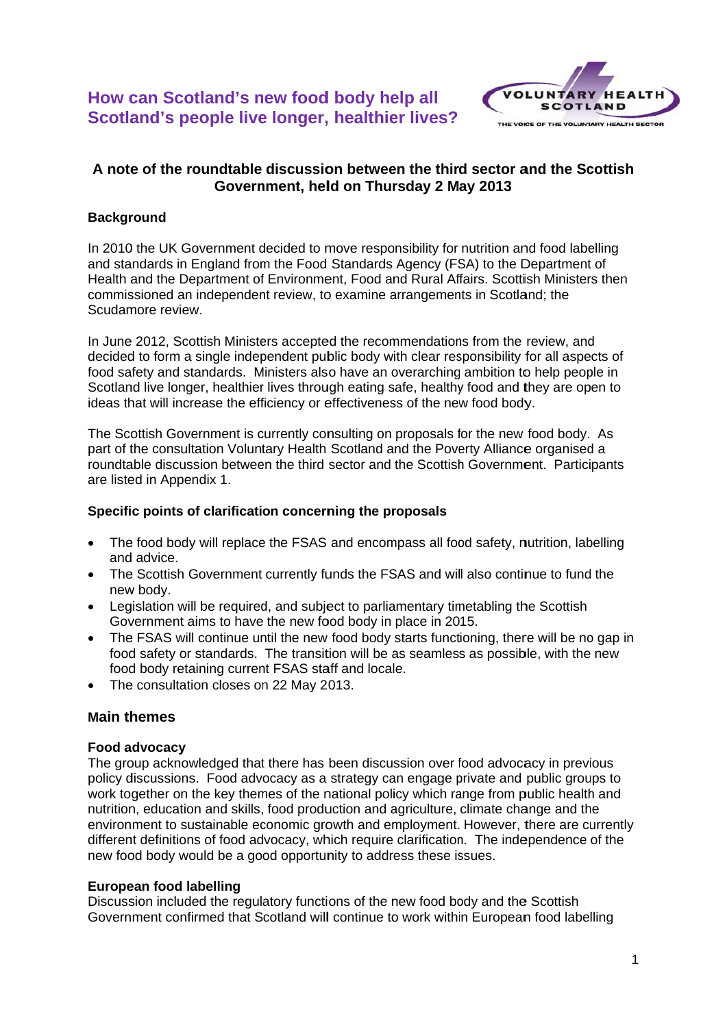

# A note of the roundtable discussion between the third sector and the Scottish Government, held on Thursday 2 May 2013

## **Background**

In 2010 the UK Government decided to move responsibility for nutrition and food labelling and standards in England from the Food Standards Agency (FSA) to the Department of Health and the Department of Environment, Food and Rural Affairs. Scottish Ministers then commissioned an independent review, to examine arrangements in Scotland: the Scudamore review.

In June 2012, Scottish Ministers accepted the recommendations from the review, and decided to form a single independent public body with clear responsibility for all aspects of food safety and standards. Ministers also have an overarching ambition to help people in Scotland live longer, healthier lives through eating safe, healthy food and they are open to ideas that will increase the efficiency or effectiveness of the new food body.

The Scottish Government is currently consulting on proposals for the new food body. As part of the consultation Voluntary Health Scotland and the Poverty Alliance organised a roundtable discussion between the third sector and the Scottish Government. Participants are listed in Appendix 1.

### Specific points of clarification concerning the proposals

- The food body will replace the FSAS and encompass all food safety, nutrition, labelling  $\bullet$ and advice.
- The Scottish Government currently funds the FSAS and will also continue to fund the new body.
- Legislation will be required, and subject to parliamentary timetabling the Scottish Government aims to have the new food body in place in 2015.
- The FSAS will continue until the new food body starts functioning, there will be no gap in food safety or standards. The transition will be as seamless as possible, with the new food body retaining current FSAS staff and locale.
- The consultation closes on 22 May 2013.

## **Main themes**

### **Food advocacv**

The group acknowledged that there has been discussion over food advocacy in previous policy discussions. Food advocacy as a strategy can engage private and public groups to work together on the key themes of the national policy which range from public health and nutrition, education and skills, food production and agriculture, climate change and the environment to sustainable economic growth and employment. However, there are currently different definitions of food advocacy, which require clarification. The independence of the new food body would be a good opportunity to address these issues.

### European food labelling

Discussion included the regulatory functions of the new food body and the Scottish Government confirmed that Scotland will continue to work within European food labelling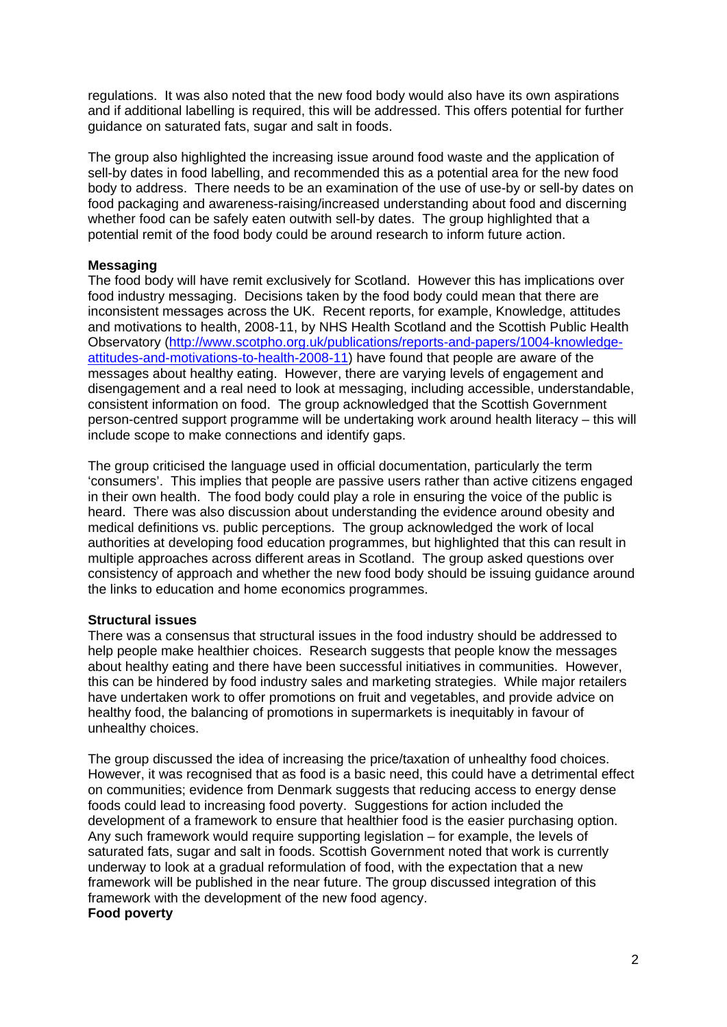regulations. It was also noted that the new food body would also have its own aspirations and if additional labelling is required, this will be addressed. This offers potential for further guidance on saturated fats, sugar and salt in foods.

The group also highlighted the increasing issue around food waste and the application of sell-by dates in food labelling, and recommended this as a potential area for the new food body to address. There needs to be an examination of the use of use-by or sell-by dates on food packaging and awareness-raising/increased understanding about food and discerning whether food can be safely eaten outwith sell-by dates. The group highlighted that a potential remit of the food body could be around research to inform future action.

#### **Messaging**

The food body will have remit exclusively for Scotland. However this has implications over food industry messaging. Decisions taken by the food body could mean that there are inconsistent messages across the UK. Recent reports, for example, Knowledge, attitudes and motivations to health, 2008-11, by NHS Health Scotland and the Scottish Public Health Observatory (http://www.scotpho.org.uk/publications/reports-and-papers/1004-knowledgeattitudes-and-motivations-to-health-2008-11) have found that people are aware of the messages about healthy eating. However, there are varying levels of engagement and disengagement and a real need to look at messaging, including accessible, understandable, consistent information on food. The group acknowledged that the Scottish Government person-centred support programme will be undertaking work around health literacy – this will include scope to make connections and identify gaps.

The group criticised the language used in official documentation, particularly the term 'consumers'. This implies that people are passive users rather than active citizens engaged in their own health. The food body could play a role in ensuring the voice of the public is heard. There was also discussion about understanding the evidence around obesity and medical definitions vs. public perceptions. The group acknowledged the work of local authorities at developing food education programmes, but highlighted that this can result in multiple approaches across different areas in Scotland. The group asked questions over consistency of approach and whether the new food body should be issuing guidance around the links to education and home economics programmes.

#### **Structural issues**

There was a consensus that structural issues in the food industry should be addressed to help people make healthier choices. Research suggests that people know the messages about healthy eating and there have been successful initiatives in communities. However, this can be hindered by food industry sales and marketing strategies. While major retailers have undertaken work to offer promotions on fruit and vegetables, and provide advice on healthy food, the balancing of promotions in supermarkets is inequitably in favour of unhealthy choices.

The group discussed the idea of increasing the price/taxation of unhealthy food choices. However, it was recognised that as food is a basic need, this could have a detrimental effect on communities; evidence from Denmark suggests that reducing access to energy dense foods could lead to increasing food poverty. Suggestions for action included the development of a framework to ensure that healthier food is the easier purchasing option. Any such framework would require supporting legislation – for example, the levels of saturated fats, sugar and salt in foods. Scottish Government noted that work is currently underway to look at a gradual reformulation of food, with the expectation that a new framework will be published in the near future. The group discussed integration of this framework with the development of the new food agency. **Food poverty**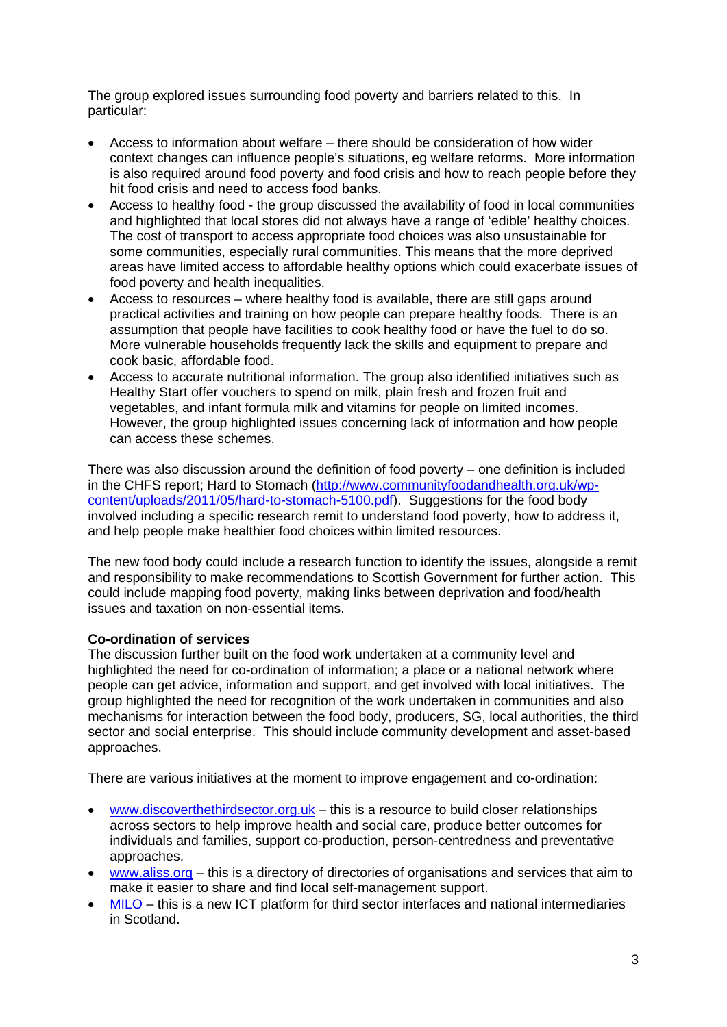The group explored issues surrounding food poverty and barriers related to this. In particular:

- Access to information about welfare there should be consideration of how wider context changes can influence people's situations, eg welfare reforms. More information is also required around food poverty and food crisis and how to reach people before they hit food crisis and need to access food banks.
- Access to healthy food the group discussed the availability of food in local communities and highlighted that local stores did not always have a range of 'edible' healthy choices. The cost of transport to access appropriate food choices was also unsustainable for some communities, especially rural communities. This means that the more deprived areas have limited access to affordable healthy options which could exacerbate issues of food poverty and health inequalities.
- Access to resources where healthy food is available, there are still gaps around practical activities and training on how people can prepare healthy foods. There is an assumption that people have facilities to cook healthy food or have the fuel to do so. More vulnerable households frequently lack the skills and equipment to prepare and cook basic, affordable food.
- Access to accurate nutritional information. The group also identified initiatives such as Healthy Start offer vouchers to spend on milk, plain fresh and frozen fruit and vegetables, and infant formula milk and vitamins for people on limited incomes. However, the group highlighted issues concerning lack of information and how people can access these schemes.

There was also discussion around the definition of food poverty – one definition is included in the CHFS report; Hard to Stomach (http://www.communityfoodandhealth.org.uk/wpcontent/uploads/2011/05/hard-to-stomach-5100.pdf). Suggestions for the food body involved including a specific research remit to understand food poverty, how to address it, and help people make healthier food choices within limited resources.

The new food body could include a research function to identify the issues, alongside a remit and responsibility to make recommendations to Scottish Government for further action. This could include mapping food poverty, making links between deprivation and food/health issues and taxation on non-essential items.

## **Co-ordination of services**

The discussion further built on the food work undertaken at a community level and highlighted the need for co-ordination of information; a place or a national network where people can get advice, information and support, and get involved with local initiatives. The group highlighted the need for recognition of the work undertaken in communities and also mechanisms for interaction between the food body, producers, SG, local authorities, the third sector and social enterprise. This should include community development and asset-based approaches.

There are various initiatives at the moment to improve engagement and co-ordination:

- www.discoverthethirdsector.org.uk this is a resource to build closer relationships across sectors to help improve health and social care, produce better outcomes for individuals and families, support co-production, person-centredness and preventative approaches.
- www.aliss.org this is a directory of directories of organisations and services that aim to make it easier to share and find local self-management support.
- MILO this is a new ICT platform for third sector interfaces and national intermediaries in Scotland.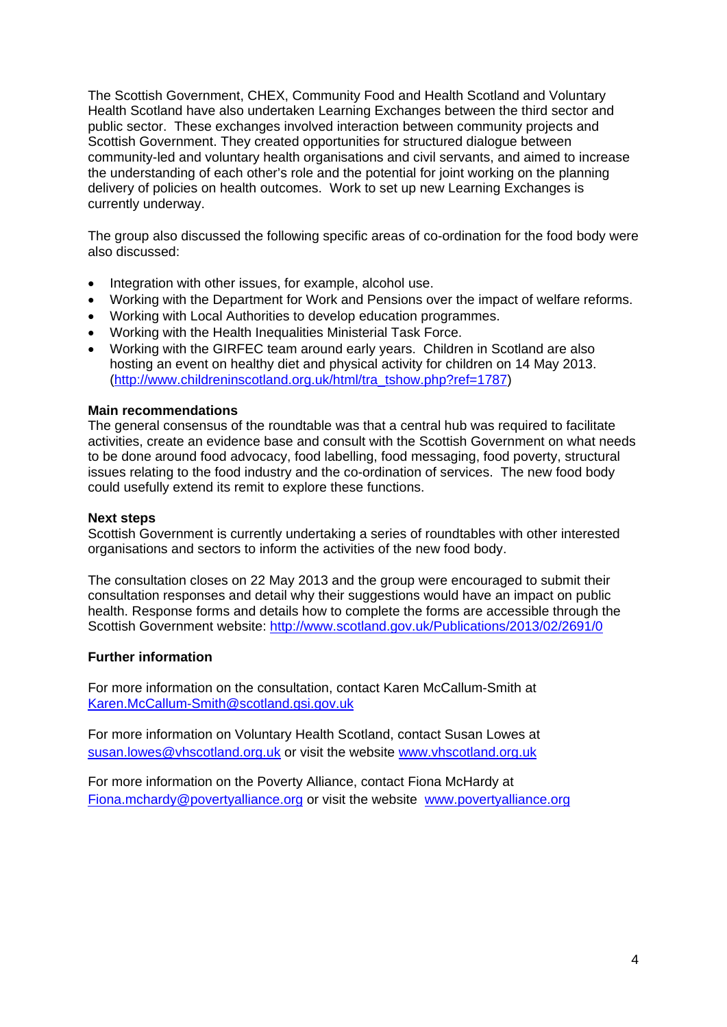The Scottish Government, CHEX, Community Food and Health Scotland and Voluntary Health Scotland have also undertaken Learning Exchanges between the third sector and public sector. These exchanges involved interaction between community projects and Scottish Government. They created opportunities for structured dialogue between community-led and voluntary health organisations and civil servants, and aimed to increase the understanding of each other's role and the potential for joint working on the planning delivery of policies on health outcomes. Work to set up new Learning Exchanges is currently underway.

The group also discussed the following specific areas of co-ordination for the food body were also discussed:

- Integration with other issues, for example, alcohol use.
- Working with the Department for Work and Pensions over the impact of welfare reforms.
- Working with Local Authorities to develop education programmes.
- Working with the Health Inequalities Ministerial Task Force.
- Working with the GIRFEC team around early years. Children in Scotland are also hosting an event on healthy diet and physical activity for children on 14 May 2013. (http://www.childreninscotland.org.uk/html/tra\_tshow.php?ref=1787)

#### **Main recommendations**

The general consensus of the roundtable was that a central hub was required to facilitate activities, create an evidence base and consult with the Scottish Government on what needs to be done around food advocacy, food labelling, food messaging, food poverty, structural issues relating to the food industry and the co-ordination of services. The new food body could usefully extend its remit to explore these functions.

#### **Next steps**

Scottish Government is currently undertaking a series of roundtables with other interested organisations and sectors to inform the activities of the new food body.

The consultation closes on 22 May 2013 and the group were encouraged to submit their consultation responses and detail why their suggestions would have an impact on public health. Response forms and details how to complete the forms are accessible through the Scottish Government website: http://www.scotland.gov.uk/Publications/2013/02/2691/0

#### **Further information**

For more information on the consultation, contact Karen McCallum-Smith at Karen.McCallum-Smith@scotland.gsi.gov.uk

For more information on Voluntary Health Scotland, contact Susan Lowes at susan.lowes@vhscotland.org.uk or visit the website www.vhscotland.org.uk

For more information on the Poverty Alliance, contact Fiona McHardy at Fiona.mchardy@povertyalliance.org or visit the website www.povertyalliance.org